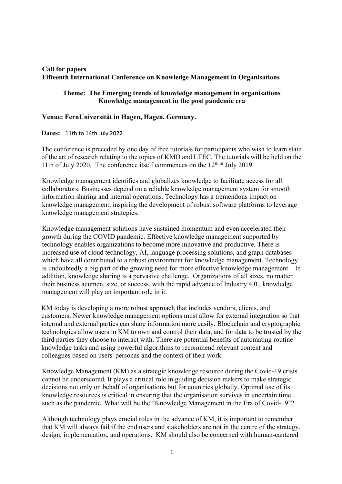## **Call for papers Fifteenth International Conference on Knowledge Management in Organisations**

## **Theme: The Emerging trends of knowledge management in organisations Knowledge management in the post pandemic era**

## **Venue: FernUniversität in Hagen, Hagen, Germany.**

**Dates:** 11th to 14th July 2022

The conference is preceded by one day of free tutorials for participants who wish to learn state of the art of research relating to the topics of KMO and LTEC. The tutorials will be held on the 11th of July 2020. The conference itself commences on the  $12<sup>th of</sup>$  July 2019.

Knowledge management identifies and globalizes knowledge to facilitate access for all collaborators. Businesses depend on a reliable knowledge management system for smooth information sharing and internal operations. Technology has a tremendous impact on knowledge management, inspiring the development of robust software platforms to leverage knowledge management strategies.

Knowledge management solutions have sustained momentum and even accelerated their growth during the COVID pandemic. Effective knowledge management supported by technology enables organizations to become more innovative and productive. There is increased use of cloud technology, AI, language processing solutions, and graph databases which have all contributed to a robust environment for knowledge management. Technology is undoubtedly a big part of the growing need for more effective knowledge management. In addition, knowledge sharing is a pervasive challenge. Organizations of all sizes, no matter their business acumen, size, or success, with the rapid advance of Industry 4.0., knowledge management will play an important role in it.

KM today is developing a more robust approach that includes vendors, clients, and customers. Newer knowledge management options must allow for external integration so that internal and external parties can share information more easily. Blockchain and cryptographic technologies allow users in KM to own and control their data, and for data to be trusted by the third parties they choose to interact with. There are potential benefits of automating routine knowledge tasks and using powerful algorithms to recommend relevant content and colleagues based on users' personas and the context of their work.

Knowledge Management (KM) as a strategic knowledge resource during the Covid-19 crisis cannot be underscored. It plays a critical role in guiding decision makers to make strategic decisions not only on behalf of organisations but for countries globally. Optimal use of its knowledge resources is critical in ensuring that the organisation survives in uncertain time such as the pandemic. What will be the "Knowledge Management in the Era of Covid-19"?

Although technology plays crucial roles in the advance of KM, it is important to remember that KM will always fail if the end users and stakeholders are not in the centre of the strategy, design, implementation, and operations. KM should also be concerned with human-cantered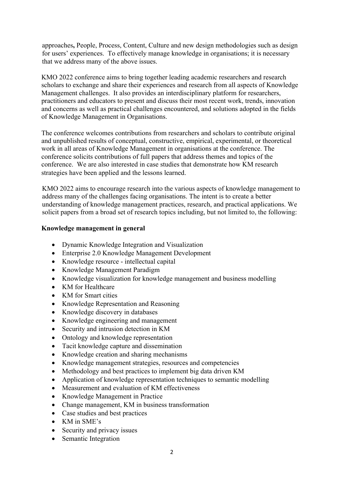approaches**,** People, Process, Content, Culture and new design methodologies such as design for users' experiences. To effectively manage knowledge in organisations; it is necessary that we address many of the above issues.

KMO 2022 conference aims to bring together leading academic researchers and research scholars to exchange and share their experiences and research from all aspects of Knowledge Management challenges. It also provides an interdisciplinary platform for researchers, practitioners and educators to present and discuss their most recent work, trends, innovation and concerns as well as practical challenges encountered, and solutions adopted in the fields of Knowledge Management in Organisations.

The conference welcomes contributions from researchers and scholars to contribute original and unpublished results of conceptual, constructive, empirical, experimental, or theoretical work in all areas of Knowledge Management in organisations at the conference. The conference solicits contributions of full papers that address themes and topics of the conference. We are also interested in case studies that demonstrate how KM research strategies have been applied and the lessons learned.

KMO 2022 aims to encourage research into the various aspects of knowledge management to address many of the challenges facing organisations. The intent is to create a better understanding of knowledge management practices, research, and practical applications. We solicit papers from a broad set of research topics including, but not limited to, the following:

## **Knowledge management in general**

- Dynamic Knowledge Integration and Visualization
- Enterprise 2.0 Knowledge Management Development
- Knowledge resource intellectual capital
- Knowledge Management Paradigm
- Knowledge visualization for knowledge management and business modelling
- KM for Healthcare
- KM for Smart cities
- Knowledge Representation and Reasoning
- Knowledge discovery in databases
- Knowledge engineering and management
- Security and intrusion detection in KM
- Ontology and knowledge representation
- Tacit knowledge capture and dissemination
- Knowledge creation and sharing mechanisms
- Knowledge management strategies, resources and competencies
- Methodology and best practices to implement big data driven KM
- Application of knowledge representation techniques to semantic modelling
- Measurement and evaluation of KM effectiveness
- Knowledge Management in Practice
- Change management, KM in business transformation
- Case studies and best practices
- KM in SME's
- Security and privacy issues
- Semantic Integration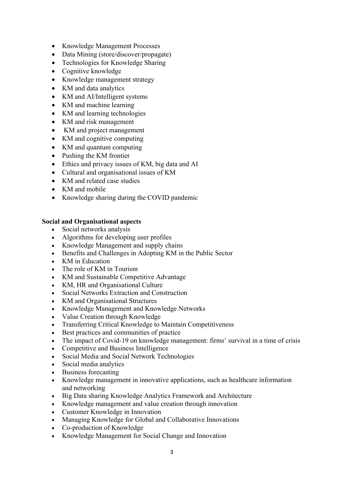- Knowledge Management Processes
- Data Mining (store/discover/propagate)
- Technologies for Knowledge Sharing
- Cognitive knowledge
- Knowledge management strategy
- KM and data analytics
- KM and AI/Intelligent systems
- KM and machine learning
- KM and learning technologies
- KM and risk management
- KM and project management
- KM and cognitive computing
- KM and quantum computing
- Pushing the KM frontier
- Ethics and privacy issues of KM, big data and AI
- Cultural and organisational issues of KM
- KM and related case studies
- KM and mobile
- Knowledge sharing during the COVID pandemic

## **Social and Organisational aspects**

- Social networks analysis
- Algorithms for developing user profiles
- Knowledge Management and supply chains
- Benefits and Challenges in Adopting KM in the Public Sector
- KM in Education
- The role of KM in Tourism
- KM and Sustainable Competitive Advantage
- KM, HR and Organisational Culture
- Social Networks Extraction and Construction
- KM and Organisational Structures
- Knowledge Management and Knowledge Networks
- Value Creation through Knowledge
- Transferring Critical Knowledge to Maintain Competitiveness
- Best practices and communities of practice
- The impact of Covid-19 on knowledge management: firms' survival in a time of crisis
- Competitive and Business Intelligence
- Social Media and Social Network Technologies
- Social media analytics
- Business forecasting
- Knowledge management in innovative applications, such as healthcare information and networking
- Big Data sharing Knowledge Analytics Framework and Architecture
- Knowledge management and value creation through innovation
- Customer Knowledge in Innovation
- Managing Knowledge for Global and Collaborative Innovations
- Co-production of Knowledge
- Knowledge Management for Social Change and Innovation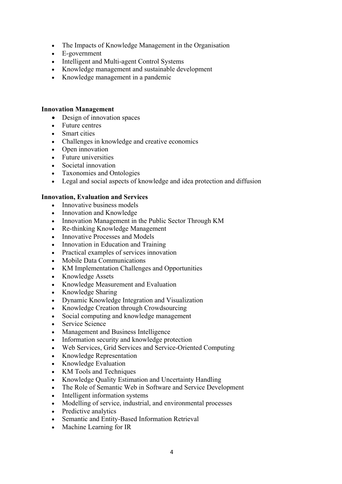- The Impacts of Knowledge Management in the Organisation
- E-government
- Intelligent and Multi-agent Control Systems
- Knowledge management and sustainable development
- Knowledge management in a pandemic

### **Innovation Management**

- Design of innovation spaces
- Future centres
- Smart cities
- Challenges in knowledge and creative economics
- Open innovation
- Future universities
- Societal innovation
- Taxonomies and Ontologies
- Legal and social aspects of knowledge and idea protection and diffusion

## **Innovation, Evaluation and Services**

- Innovative business models
- Innovation and Knowledge
- Innovation Management in the Public Sector Through KM
- Re-thinking Knowledge Management
- Innovative Processes and Models
- Innovation in Education and Training
- Practical examples of services innovation
- Mobile Data Communications
- KM Implementation Challenges and Opportunities
- Knowledge Assets
- Knowledge Measurement and Evaluation
- Knowledge Sharing
- Dynamic Knowledge Integration and Visualization
- Knowledge Creation through Crowdsourcing
- Social computing and knowledge management
- Service Science
- Management and Business Intelligence
- Information security and knowledge protection
- Web Services, Grid Services and Service-Oriented Computing
- Knowledge Representation
- Knowledge Evaluation
- KM Tools and Techniques
- Knowledge Quality Estimation and Uncertainty Handling
- The Role of Semantic Web in Software and Service Development
- Intelligent information systems
- Modelling of service, industrial, and environmental processes
- Predictive analytics
- Semantic and Entity-Based Information Retrieval
- Machine Learning for IR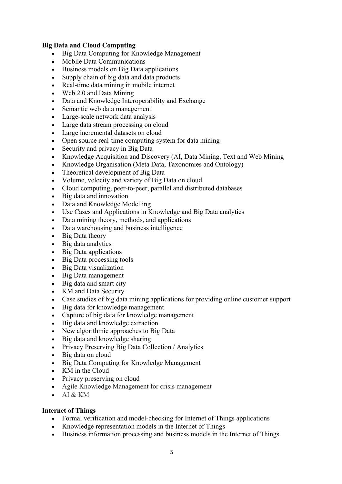# **Big Data and Cloud Computing**

- Big Data Computing for Knowledge Management
- Mobile Data Communications
- Business models on Big Data applications
- Supply chain of big data and data products
- Real-time data mining in mobile internet
- Web 2.0 and Data Mining
- Data and Knowledge Interoperability and Exchange
- Semantic web data management
- Large-scale network data analysis
- Large data stream processing on cloud
- Large incremental datasets on cloud
- Open source real-time computing system for data mining
- Security and privacy in Big Data
- Knowledge Acquisition and Discovery (AI, Data Mining, Text and Web Mining
- Knowledge Organisation (Meta Data, Taxonomies and Ontology)
- Theoretical development of Big Data
- Volume, velocity and variety of Big Data on cloud
- Cloud computing, peer-to-peer, parallel and distributed databases
- Big data and innovation
- Data and Knowledge Modelling
- Use Cases and Applications in Knowledge and Big Data analytics
- Data mining theory, methods, and applications
- Data warehousing and business intelligence
- Big Data theory
- Big data analytics
- Big Data applications
- Big Data processing tools
- Big Data visualization
- Big Data management
- Big data and smart city
- KM and Data Security
- Case studies of big data mining applications for providing online customer support
- Big data for knowledge management
- Capture of big data for knowledge management
- Big data and knowledge extraction
- New algorithmic approaches to Big Data
- Big data and knowledge sharing
- Privacy Preserving Big Data Collection / Analytics
- Big data on cloud
- Big Data Computing for Knowledge Management
- KM in the Cloud
- Privacy preserving on cloud
- Agile Knowledge Management for crisis management
- AI & KM

## **Internet of Things**

- Formal verification and model-checking for Internet of Things applications
- Knowledge representation models in the Internet of Things
- Business information processing and business models in the Internet of Things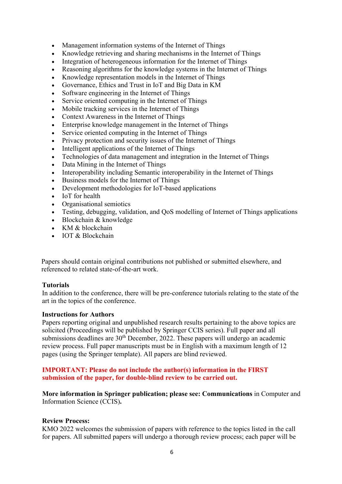- Management information systems of the Internet of Things
- Knowledge retrieving and sharing mechanisms in the Internet of Things
- Integration of heterogeneous information for the Internet of Things
- Reasoning algorithms for the knowledge systems in the Internet of Things
- Knowledge representation models in the Internet of Things
- Governance, Ethics and Trust in IoT and Big Data in KM
- Software engineering in the Internet of Things
- Service oriented computing in the Internet of Things
- Mobile tracking services in the Internet of Things
- Context Awareness in the Internet of Things
- Enterprise knowledge management in the Internet of Things
- Service oriented computing in the Internet of Things
- Privacy protection and security issues of the Internet of Things
- Intelligent applications of the Internet of Things
- Technologies of data management and integration in the Internet of Things
- Data Mining in the Internet of Things
- Interoperability including Semantic interoperability in the Internet of Things
- Business models for the Internet of Things
- Development methodologies for IoT-based applications
- IoT for health
- Organisational semiotics
- Testing, debugging, validation, and OoS modelling of Internet of Things applications
- Blockchain & knowledge
- KM & blockchain
- IOT & Blockchain

Papers should contain original contributions not published or submitted elsewhere, and referenced to related state-of-the-art work.

#### **Tutorials**

In addition to the conference, there will be pre-conference tutorials relating to the state of the art in the topics of the conference.

#### **Instructions for Authors**

Papers reporting original and unpublished research results pertaining to the above topics are solicited (Proceedings will be published by Springer CCIS series). Full paper and all submissions deadlines are 30<sup>th</sup> December, 2022. These papers will undergo an academic review process. Full paper manuscripts must be in English with a maximum length of 12 pages (using the Springer template). All papers are blind reviewed.

## **IMPORTANT: Please do not include the author(s) information in the FIRST submission of the paper, for double-blind review to be carried out.**

**More information in Springer publication; please see: Communications** in Computer and Information Science (CCIS)**.** 

#### **Review Process:**

KMO 2022 welcomes the submission of papers with reference to the topics listed in the call for papers. All submitted papers will undergo a thorough review process; each paper will be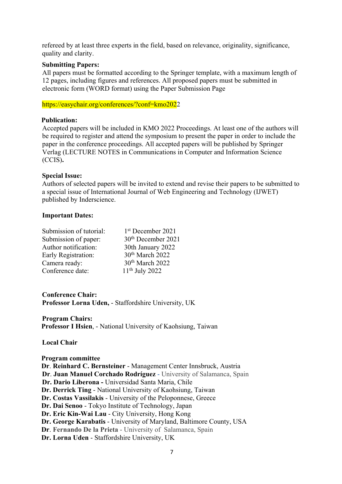refereed by at least three experts in the field, based on relevance, originality, significance, quality and clarity.

### **Submitting Papers:**

All papers must be formatted according to the Springer template, with a maximum length of 12 pages, including figures and references. All proposed papers must be submitted in electronic form (WORD format) using the Paper Submission Page

https://easychair.org/conferences/?conf=kmo2022

### **Publication:**

Accepted papers will be included in KMO 2022 Proceedings. At least one of the authors will be required to register and attend the symposium to present the paper in order to include the paper in the conference proceedings. All accepted papers will be published by Springer Verlag (LECTURE NOTES in Communications in Computer and Information Science (CCIS)**.** 

### **Special Issue:**

Authors of selected papers will be invited to extend and revise their papers to be submitted to a special issue of International Journal of Web Engineering and Technology (IJWET) published by Inderscience.

### **Important Dates:**

| Submission of tutorial: | 1 <sup>st</sup> December 2021  |
|-------------------------|--------------------------------|
| Submission of paper:    | 30 <sup>th</sup> December 2021 |
| Author notification:    | 30th January 2022              |
| Early Registration:     | 30 <sup>th</sup> March 2022    |
| Camera ready:           | 30 <sup>th</sup> March 2022    |
| Conference date:        | $11th$ July 2022               |

**Conference Chair: Professor Lorna Uden,** - Staffordshire University, UK

**Program Chairs: Professor I Hsien**, - National University of Kaohsiung, Taiwan

## **Local Chair**

**Program committee Dr**. **Reinhard C. Bernsteiner** - Management Center Innsbruck, Austria **Dr**. **Juan Manuel Corchado Rodríguez** - University of Salamanca, Spain **Dr. Dario Liberona -** Universidad Santa Maria, Chile **Dr. Derrick Ting** - National University of Kaohsiung, Taiwan **Dr. Costas Vassilakis** - University of the Peloponnese, Greece **Dr. Dai Senoo** - Tokyo Institute of Technology, Japan **Dr. Eric Kin-Wai Lau** - City University, Hong Kong **Dr. George Karabatis** - University of Maryland, Baltimore County, USA **Dr**. **Fernando De la Prieta** - University of Salamanca, Spain **Dr. Lorna Uden** - Staffordshire University, UK